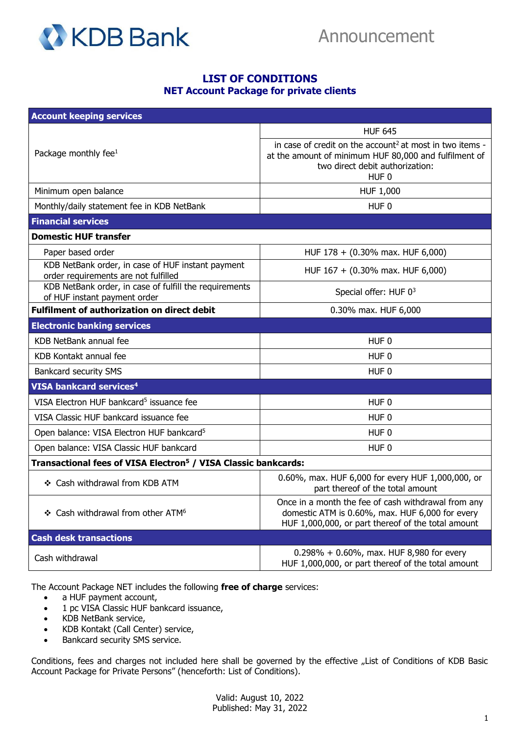

Announcement

## **LIST OF CONDITIONS NET Account Package for private clients**

| <b>Account keeping services</b>                                                           |                                                                                                                                                                                      |
|-------------------------------------------------------------------------------------------|--------------------------------------------------------------------------------------------------------------------------------------------------------------------------------------|
|                                                                                           | <b>HUF 645</b>                                                                                                                                                                       |
| Package monthly fee $1$                                                                   | in case of credit on the account <sup>2</sup> at most in two items -<br>at the amount of minimum HUF 80,000 and fulfilment of<br>two direct debit authorization:<br>HUF <sub>0</sub> |
| Minimum open balance                                                                      | HUF 1,000                                                                                                                                                                            |
| Monthly/daily statement fee in KDB NetBank                                                | HUF <sub>0</sub>                                                                                                                                                                     |
| <b>Financial services</b>                                                                 |                                                                                                                                                                                      |
| <b>Domestic HUF transfer</b>                                                              |                                                                                                                                                                                      |
| Paper based order                                                                         | HUF 178 + (0.30% max. HUF 6,000)                                                                                                                                                     |
| KDB NetBank order, in case of HUF instant payment<br>order requirements are not fulfilled | HUF 167 + (0.30% max. HUF 6,000)                                                                                                                                                     |
| KDB NetBank order, in case of fulfill the requirements<br>of HUF instant payment order    | Special offer: HUF 03                                                                                                                                                                |
| <b>Fulfilment of authorization on direct debit</b>                                        | 0.30% max. HUF 6,000                                                                                                                                                                 |
| <b>Electronic banking services</b>                                                        |                                                                                                                                                                                      |
| KDB NetBank annual fee                                                                    | HUF <sub>0</sub>                                                                                                                                                                     |
| KDB Kontakt annual fee                                                                    | HUF <sub>0</sub>                                                                                                                                                                     |
| <b>Bankcard security SMS</b>                                                              | HUF <sub>0</sub>                                                                                                                                                                     |
| VISA bankcard services <sup>4</sup>                                                       |                                                                                                                                                                                      |
| VISA Electron HUF bankcard <sup>5</sup> issuance fee                                      | HUF <sub>0</sub>                                                                                                                                                                     |
| VISA Classic HUF bankcard issuance fee                                                    | HUF <sub>0</sub>                                                                                                                                                                     |
| Open balance: VISA Electron HUF bankcard <sup>5</sup>                                     | HUF <sub>0</sub>                                                                                                                                                                     |
| Open balance: VISA Classic HUF bankcard                                                   | HUF <sub>0</sub>                                                                                                                                                                     |
| Transactional fees of VISA Electron <sup>5</sup> / VISA Classic bankcards:                |                                                                                                                                                                                      |
| ❖ Cash withdrawal from KDB ATM                                                            | 0.60%, max. HUF 6,000 for every HUF 1,000,000, or<br>part thereof of the total amount                                                                                                |
| ❖ Cash withdrawal from other ATM <sup>6</sup>                                             | Once in a month the fee of cash withdrawal from any<br>domestic ATM is 0.60%, max. HUF 6,000 for every<br>HUF 1,000,000, or part thereof of the total amount                         |
| <b>Cash desk transactions</b>                                                             |                                                                                                                                                                                      |
| Cash withdrawal                                                                           | $0.298\% + 0.60\%$ , max. HUF 8,980 for every<br>HUF 1,000,000, or part thereof of the total amount                                                                                  |

The Account Package NET includes the following **free of charge** services:

- a HUF payment account,
- 1 pc VISA Classic HUF bankcard issuance,
- KDB NetBank service,
- KDB Kontakt (Call Center) service,
- Bankcard security SMS service.

Conditions, fees and charges not included here shall be governed by the effective "List of Conditions of KDB Basic Account Package for Private Persons" (henceforth: List of Conditions).